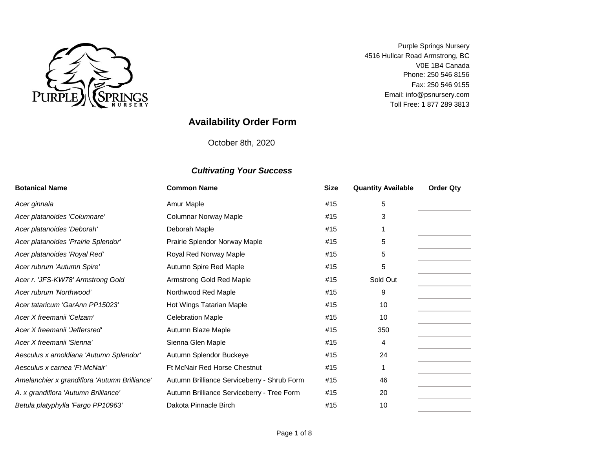

Email: info@psnursery.com Toll Free: 1 877 289 3813 Phone: 250 546 8156 V0E 1B4 Canada Fax: 250 546 9155 Purple Springs Nursery 4516 Hullcar Road Armstrong, BC

# **Availability Order Form**

October 8th, 2020

| <b>Botanical Name</b>                         | <b>Common Name</b>                          | <b>Size</b> | <b>Quantity Available</b> | <b>Order Qty</b> |
|-----------------------------------------------|---------------------------------------------|-------------|---------------------------|------------------|
| Acer ginnala                                  | Amur Maple                                  | #15         | 5                         |                  |
| Acer platanoides 'Columnare'                  | <b>Columnar Norway Maple</b>                | #15         | 3                         |                  |
| Acer platanoides 'Deborah'                    | Deborah Maple                               | #15         |                           |                  |
| Acer platanoides 'Prairie Splendor'           | Prairie Splendor Norway Maple               | #15         | 5                         |                  |
| Acer platanoides 'Royal Red'                  | Royal Red Norway Maple                      | #15         | 5                         |                  |
| Acer rubrum 'Autumn Spire'                    | Autumn Spire Red Maple                      | #15         | 5                         |                  |
| Acer r. 'JFS-KW78' Armstrong Gold             | Armstrong Gold Red Maple                    | #15         | Sold Out                  |                  |
| Acer rubrum 'Northwood'                       | Northwood Red Maple                         | #15         | 9                         |                  |
| Acer tataricum 'GarAnn PP15023'               | Hot Wings Tatarian Maple                    | #15         | 10                        |                  |
| Acer X freemanii 'Celzam'                     | <b>Celebration Maple</b>                    | #15         | 10                        |                  |
| Acer X freemanii 'Jeffersred'                 | Autumn Blaze Maple                          | #15         | 350                       |                  |
| Acer X freemanii 'Sienna'                     | Sienna Glen Maple                           | #15         | 4                         |                  |
| Aesculus x arnoldiana 'Autumn Splendor'       | Autumn Splendor Buckeye                     | #15         | 24                        |                  |
| Aesculus x carnea 'Ft McNair'                 | Ft McNair Red Horse Chestnut                | #15         |                           |                  |
| Amelanchier x grandiflora 'Autumn Brilliance' | Autumn Brilliance Serviceberry - Shrub Form | #15         | 46                        |                  |
| A. x grandiflora 'Autumn Brilliance'          | Autumn Brilliance Serviceberry - Tree Form  | #15         | 20                        |                  |
| Betula platyphylla 'Fargo PP10963'            | Dakota Pinnacle Birch                       | #15         | 10                        |                  |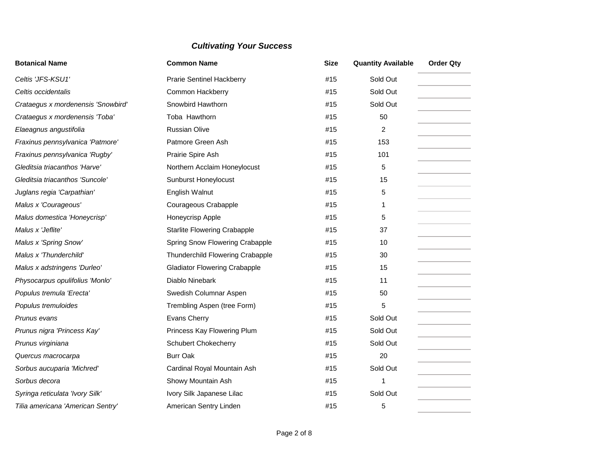| <b>Botanical Name</b>              | <b>Common Name</b>                   | <b>Size</b> | <b>Quantity Available</b> | <b>Order Qty</b> |
|------------------------------------|--------------------------------------|-------------|---------------------------|------------------|
| Celtis 'JFS-KSU1'                  | <b>Prarie Sentinel Hackberry</b>     | #15         | Sold Out                  |                  |
| Celtis occidentalis                | <b>Common Hackberry</b>              | #15         | Sold Out                  |                  |
| Crataegus x mordenensis 'Snowbird' | Snowbird Hawthorn                    | #15         | Sold Out                  |                  |
| Crataegus x mordenensis 'Toba'     | Toba Hawthorn                        | #15         | 50                        |                  |
| Elaeagnus angustifolia             | <b>Russian Olive</b>                 | #15         | 2                         |                  |
| Fraxinus pennsylvanica 'Patmore'   | Patmore Green Ash                    | #15         | 153                       |                  |
| Fraxinus pennsylvanica 'Rugby'     | Prairie Spire Ash                    | #15         | 101                       |                  |
| Gleditsia triacanthos 'Harve'      | Northern Acclaim Honeylocust         | #15         | 5                         |                  |
| Gleditsia triacanthos 'Suncole'    | Sunburst Honeylocust                 | #15         | 15                        |                  |
| Juglans regia 'Carpathian'         | English Walnut                       | #15         | 5                         |                  |
| Malus x 'Courageous'               | Courageous Crabapple                 | #15         | 1                         |                  |
| Malus domestica 'Honeycrisp'       | Honeycrisp Apple                     | #15         | 5                         |                  |
| Malus x 'Jeflite'                  | <b>Starlite Flowering Crabapple</b>  | #15         | 37                        |                  |
| Malus x 'Spring Snow'              | Spring Snow Flowering Crabapple      | #15         | 10                        |                  |
| Malus x 'Thunderchild'             | Thunderchild Flowering Crabapple     | #15         | 30                        |                  |
| Malus x adstringens 'Durleo'       | <b>Gladiator Flowering Crabapple</b> | #15         | 15                        |                  |
| Physocarpus opulifolius 'Monlo'    | Diablo Ninebark                      | #15         | 11                        |                  |
| Populus tremula 'Erecta'           | Swedish Columnar Aspen               | #15         | 50                        |                  |
| Populus tremuloides                | Trembling Aspen (tree Form)          | #15         | 5                         |                  |
| Prunus evans                       | Evans Cherry                         | #15         | Sold Out                  |                  |
| Prunus nigra 'Princess Kay'        | Princess Kay Flowering Plum          | #15         | Sold Out                  |                  |
| Prunus virginiana                  | <b>Schubert Chokecherry</b>          | #15         | Sold Out                  |                  |
| Quercus macrocarpa                 | <b>Burr Oak</b>                      | #15         | 20                        |                  |
| Sorbus aucuparia 'Michred'         | Cardinal Royal Mountain Ash          | #15         | Sold Out                  |                  |
| Sorbus decora                      | Showy Mountain Ash                   | #15         | 1                         |                  |
| Syringa reticulata 'Ivory Silk'    | Ivory Silk Japanese Lilac            | #15         | Sold Out                  |                  |
| Tilia americana 'American Sentry'  | American Sentry Linden               | #15         | 5                         |                  |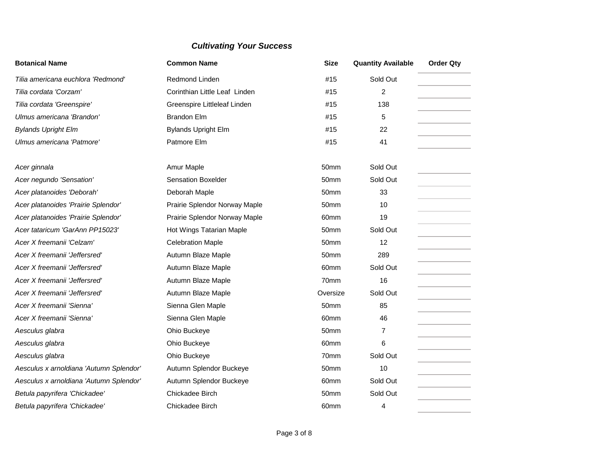| <b>Botanical Name</b>                   | <b>Common Name</b>            | <b>Size</b>      | <b>Quantity Available</b> | <b>Order Qty</b> |
|-----------------------------------------|-------------------------------|------------------|---------------------------|------------------|
| Tilia americana euchlora 'Redmond'      | Redmond Linden                | #15              | Sold Out                  |                  |
| Tilia cordata 'Corzam'                  | Corinthian Little Leaf Linden | #15              | 2                         |                  |
| Tilia cordata 'Greenspire'              | Greenspire Littleleaf Linden  | #15              | 138                       |                  |
| Ulmus americana 'Brandon'               | <b>Brandon Elm</b>            | #15              | 5                         |                  |
| <b>Bylands Upright Elm</b>              | <b>Bylands Upright Elm</b>    | #15              | 22                        |                  |
| Ulmus americana 'Patmore'               | Patmore Elm                   | #15              | 41                        |                  |
| Acer ginnala                            | Amur Maple                    | 50 <sub>mm</sub> | Sold Out                  |                  |
| Acer negundo 'Sensation'                | <b>Sensation Boxelder</b>     | 50 <sub>mm</sub> | Sold Out                  |                  |
| Acer platanoides 'Deborah'              | Deborah Maple                 | 50mm             | 33                        |                  |
| Acer platanoides 'Prairie Splendor'     | Prairie Splendor Norway Maple | 50mm             | 10                        |                  |
| Acer platanoides 'Prairie Splendor'     | Prairie Splendor Norway Maple | 60mm             | 19                        |                  |
| Acer tataricum 'GarAnn PP15023'         | Hot Wings Tatarian Maple      | 50mm             | Sold Out                  |                  |
| Acer X freemanii 'Celzam'               | <b>Celebration Maple</b>      | 50mm             | 12                        |                  |
| Acer X freemanii 'Jeffersred'           | Autumn Blaze Maple            | 50 <sub>mm</sub> | 289                       |                  |
| Acer X freemanii 'Jeffersred'           | Autumn Blaze Maple            | 60mm             | Sold Out                  |                  |
| Acer X freemanii 'Jeffersred'           | Autumn Blaze Maple            | 70mm             | 16                        |                  |
| Acer X freemanii 'Jeffersred'           | Autumn Blaze Maple            | Oversize         | Sold Out                  |                  |
| Acer X freemanii 'Sienna'               | Sienna Glen Maple             | 50 <sub>mm</sub> | 85                        |                  |
| Acer X freemanii 'Sienna'               | Sienna Glen Maple             | 60mm             | 46                        |                  |
| Aesculus glabra                         | Ohio Buckeye                  | 50mm             | 7                         |                  |
| Aesculus glabra                         | Ohio Buckeye                  | 60mm             | 6                         |                  |
| Aesculus glabra                         | Ohio Buckeye                  | 70mm             | Sold Out                  |                  |
| Aesculus x arnoldiana 'Autumn Splendor' | Autumn Splendor Buckeye       | 50mm             | 10                        |                  |
| Aesculus x arnoldiana 'Autumn Splendor' | Autumn Splendor Buckeye       | 60mm             | Sold Out                  |                  |
| Betula papyrifera 'Chickadee'           | Chickadee Birch               | 50mm             | Sold Out                  |                  |
| Betula papyrifera 'Chickadee'           | Chickadee Birch               | 60mm             | 4                         |                  |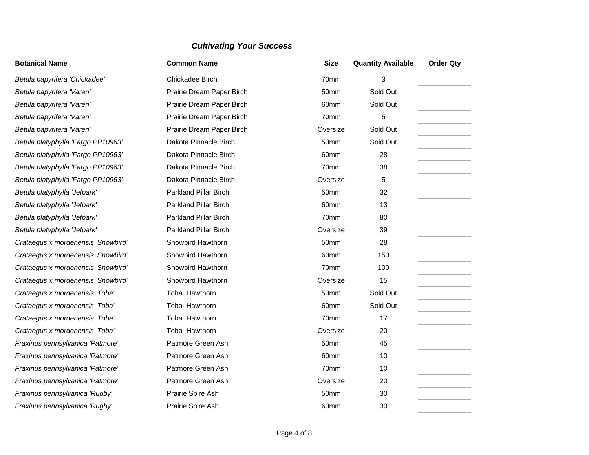| <b>Botanical Name</b>              | <b>Common Name</b>           | <b>Size</b>      | <b>Quantity Available</b> | <b>Order Qty</b> |
|------------------------------------|------------------------------|------------------|---------------------------|------------------|
| Betula papyrifera 'Chickadee'      | Chickadee Birch              | 70mm             | 3                         |                  |
| Betula papyrifera 'Varen'          | Prairie Dream Paper Birch    | 50mm             | Sold Out                  |                  |
| Betula papyrifera 'Varen'          | Prairie Dream Paper Birch    | 60 <sub>mm</sub> | Sold Out                  |                  |
| Betula papyrifera 'Varen'          | Prairie Dream Paper Birch    | 70mm             | 5                         |                  |
| Betula papyrifera 'Varen'          | Prairie Dream Paper Birch    | Oversize         | Sold Out                  |                  |
| Betula platyphylla 'Fargo PP10963' | Dakota Pinnacle Birch        | 50mm             | Sold Out                  |                  |
| Betula platyphylla 'Fargo PP10963' | Dakota Pinnacle Birch        | 60mm             | 28                        |                  |
| Betula platyphylla 'Fargo PP10963' | Dakota Pinnacle Birch        | 70mm             | 38                        |                  |
| Betula platyphylla 'Fargo PP10963' | Dakota Pinnacle Birch        | Oversize         | 5                         |                  |
| Betula platyphylla 'Jefpark'       | <b>Parkland Pillar Birch</b> | 50mm             | 32                        |                  |
| Betula platyphylla 'Jefpark'       | <b>Parkland Pillar Birch</b> | 60 <sub>mm</sub> | 13                        |                  |
| Betula platyphylla 'Jefpark'       | <b>Parkland Pillar Birch</b> | 70mm             | 80                        |                  |
| Betula platyphylla 'Jefpark'       | <b>Parkland Pillar Birch</b> | Oversize         | 39                        |                  |
| Crataegus x mordenensis 'Snowbird' | Snowbird Hawthorn            | 50 <sub>mm</sub> | 28                        |                  |
| Crataegus x mordenensis 'Snowbird' | Snowbird Hawthorn            | 60mm             | 150                       |                  |
| Crataegus x mordenensis 'Snowbird' | Snowbird Hawthorn            | 70mm             | 100                       |                  |
| Crataegus x mordenensis 'Snowbird' | Snowbird Hawthorn            | Oversize         | 15                        |                  |
| Crataegus x mordenensis 'Toba'     | Toba Hawthorn                | 50mm             | Sold Out                  |                  |
| Crataegus x mordenensis 'Toba'     | Toba Hawthorn                | 60mm             | Sold Out                  |                  |
| Crataegus x mordenensis 'Toba'     | Toba Hawthorn                | 70mm             | 17                        |                  |
| Crataegus x mordenensis 'Toba'     | Toba Hawthorn                | Oversize         | 20                        |                  |
| Fraxinus pennsylvanica 'Patmore'   | Patmore Green Ash            | 50mm             | 45                        |                  |
| Fraxinus pennsylvanica 'Patmore'   | Patmore Green Ash            | 60mm             | 10                        |                  |
| Fraxinus pennsylvanica 'Patmore'   | Patmore Green Ash            | 70mm             | 10                        |                  |
| Fraxinus pennsylvanica 'Patmore'   | Patmore Green Ash            | Oversize         | 20                        |                  |
| Fraxinus pennsylvanica 'Rugby'     | Prairie Spire Ash            | 50mm             | 30                        |                  |
| Fraxinus pennsylvanica 'Rugby'     | Prairie Spire Ash            | 60mm             | 30                        |                  |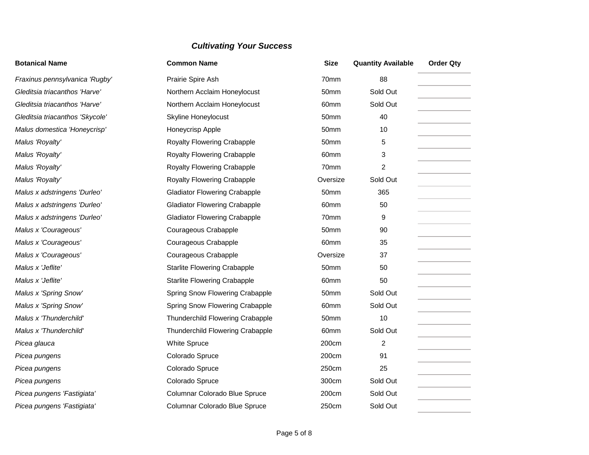| <b>Botanical Name</b>           | <b>Common Name</b>                   | <b>Size</b> | <b>Quantity Available</b> | <b>Order Qty</b> |
|---------------------------------|--------------------------------------|-------------|---------------------------|------------------|
| Fraxinus pennsylvanica 'Rugby'  | Prairie Spire Ash                    | 70mm        | 88                        |                  |
| Gleditsia triacanthos 'Harve'   | Northern Acclaim Honeylocust         | 50mm        | Sold Out                  |                  |
| Gleditsia triacanthos 'Harve'   | Northern Acclaim Honeylocust         | 60mm        | Sold Out                  |                  |
| Gleditsia triacanthos 'Skycole' | <b>Skyline Honeylocust</b>           | 50mm        | 40                        |                  |
| Malus domestica 'Honeycrisp'    | Honeycrisp Apple                     | 50mm        | 10                        |                  |
| Malus 'Royalty'                 | Royalty Flowering Crabapple          | 50mm        | 5                         |                  |
| Malus 'Royalty'                 | Royalty Flowering Crabapple          | 60mm        | 3                         |                  |
| Malus 'Royalty'                 | Royalty Flowering Crabapple          | 70mm        | 2                         |                  |
| Malus 'Royalty'                 | Royalty Flowering Crabapple          | Oversize    | Sold Out                  |                  |
| Malus x adstringens 'Durleo'    | <b>Gladiator Flowering Crabapple</b> | 50mm        | 365                       |                  |
| Malus x adstringens 'Durleo'    | <b>Gladiator Flowering Crabapple</b> | 60mm        | 50                        |                  |
| Malus x adstringens 'Durleo'    | <b>Gladiator Flowering Crabapple</b> | 70mm        | 9                         |                  |
| Malus x 'Courageous'            | Courageous Crabapple                 | 50mm        | 90                        |                  |
| Malus x 'Courageous'            | Courageous Crabapple                 | 60mm        | 35                        |                  |
| Malus x 'Courageous'            | Courageous Crabapple                 | Oversize    | 37                        |                  |
| Malus x 'Jeflite'               | <b>Starlite Flowering Crabapple</b>  | 50mm        | 50                        |                  |
| Malus x 'Jeflite'               | <b>Starlite Flowering Crabapple</b>  | 60mm        | 50                        |                  |
| Malus x 'Spring Snow'           | Spring Snow Flowering Crabapple      | 50mm        | Sold Out                  |                  |
| Malus x 'Spring Snow'           | Spring Snow Flowering Crabapple      | 60mm        | Sold Out                  |                  |
| Malus x 'Thunderchild'          | Thunderchild Flowering Crabapple     | 50mm        | 10                        |                  |
| Malus x 'Thunderchild'          | Thunderchild Flowering Crabapple     | 60mm        | Sold Out                  |                  |
| Picea glauca                    | White Spruce                         | 200cm       | $\overline{2}$            |                  |
| Picea pungens                   | Colorado Spruce                      | 200cm       | 91                        |                  |
| Picea pungens                   | Colorado Spruce                      | 250cm       | 25                        |                  |
| Picea pungens                   | Colorado Spruce                      | 300cm       | Sold Out                  |                  |
| Picea pungens 'Fastigiata'      | Columnar Colorado Blue Spruce        | 200cm       | Sold Out                  |                  |
| Picea pungens 'Fastigiata'      | Columnar Colorado Blue Spruce        | 250cm       | Sold Out                  |                  |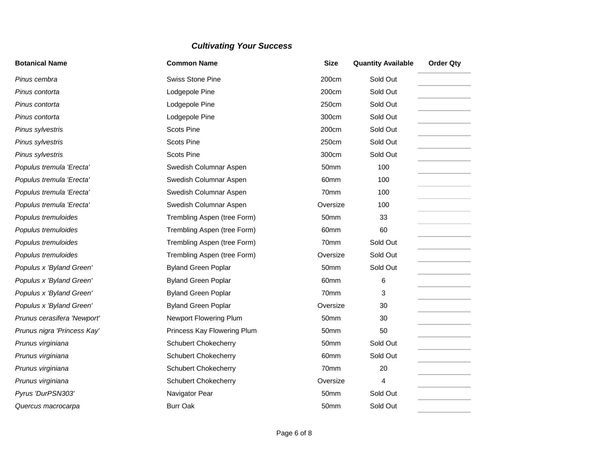| <b>Botanical Name</b>       | <b>Common Name</b>          | <b>Size</b> | <b>Quantity Available</b> | <b>Order Qty</b> |
|-----------------------------|-----------------------------|-------------|---------------------------|------------------|
| Pinus cembra                | <b>Swiss Stone Pine</b>     | 200cm       | Sold Out                  |                  |
| Pinus contorta              | Lodgepole Pine              | 200cm       | Sold Out                  |                  |
| Pinus contorta              | Lodgepole Pine              | 250cm       | Sold Out                  |                  |
| Pinus contorta              | Lodgepole Pine              | 300cm       | Sold Out                  |                  |
| Pinus sylvestris            | <b>Scots Pine</b>           | 200cm       | Sold Out                  |                  |
| Pinus sylvestris            | <b>Scots Pine</b>           | 250cm       | Sold Out                  |                  |
| Pinus sylvestris            | <b>Scots Pine</b>           | 300cm       | Sold Out                  |                  |
| Populus tremula 'Erecta'    | Swedish Columnar Aspen      | 50mm        | 100                       |                  |
| Populus tremula 'Erecta'    | Swedish Columnar Aspen      | 60mm        | 100                       |                  |
| Populus tremula 'Erecta'    | Swedish Columnar Aspen      | 70mm        | 100                       |                  |
| Populus tremula 'Erecta'    | Swedish Columnar Aspen      | Oversize    | 100                       |                  |
| Populus tremuloides         | Trembling Aspen (tree Form) | 50mm        | 33                        |                  |
| Populus tremuloides         | Trembling Aspen (tree Form) | 60mm        | 60                        |                  |
| Populus tremuloides         | Trembling Aspen (tree Form) | 70mm        | Sold Out                  |                  |
| Populus tremuloides         | Trembling Aspen (tree Form) | Oversize    | Sold Out                  |                  |
| Populus x 'Byland Green'    | <b>Byland Green Poplar</b>  | 50mm        | Sold Out                  |                  |
| Populus x 'Byland Green'    | <b>Byland Green Poplar</b>  | 60mm        | 6                         |                  |
| Populus x 'Byland Green'    | <b>Byland Green Poplar</b>  | 70mm        | 3                         |                  |
| Populus x 'Byland Green'    | <b>Byland Green Poplar</b>  | Oversize    | 30                        |                  |
| Prunus cerasifera 'Newport' | Newport Flowering Plum      | 50mm        | 30                        |                  |
| Prunus nigra 'Princess Kay' | Princess Kay Flowering Plum | 50mm        | 50                        |                  |
| Prunus virginiana           | <b>Schubert Chokecherry</b> | 50mm        | Sold Out                  |                  |
| Prunus virginiana           | <b>Schubert Chokecherry</b> | 60mm        | Sold Out                  |                  |
| Prunus virginiana           | <b>Schubert Chokecherry</b> | 70mm        | 20                        |                  |
| Prunus virginiana           | <b>Schubert Chokecherry</b> | Oversize    | 4                         |                  |
| Pyrus 'DurPSN303'           | Navigator Pear              | 50mm        | Sold Out                  |                  |
| Quercus macrocarpa          | <b>Burr Oak</b>             | 50mm        | Sold Out                  |                  |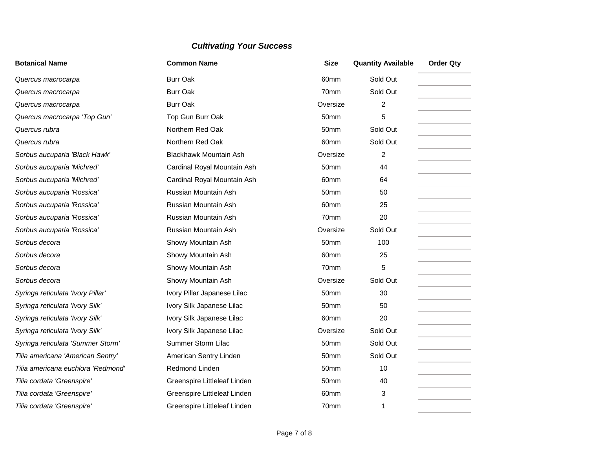| <b>Botanical Name</b>              | <b>Common Name</b>            | <b>Size</b> | <b>Quantity Available</b> | <b>Order Qty</b> |
|------------------------------------|-------------------------------|-------------|---------------------------|------------------|
| Quercus macrocarpa                 | <b>Burr Oak</b>               | 60mm        | Sold Out                  |                  |
| Quercus macrocarpa                 | <b>Burr Oak</b>               | 70mm        | Sold Out                  |                  |
| Quercus macrocarpa                 | <b>Burr Oak</b>               | Oversize    | 2                         |                  |
| Quercus macrocarpa 'Top Gun'       | Top Gun Burr Oak              | 50mm        | 5                         |                  |
| Quercus rubra                      | Northern Red Oak              | 50mm        | Sold Out                  |                  |
| Quercus rubra                      | Northern Red Oak              | 60mm        | Sold Out                  |                  |
| Sorbus aucuparia 'Black Hawk'      | <b>Blackhawk Mountain Ash</b> | Oversize    | $\overline{2}$            |                  |
| Sorbus aucuparia 'Michred'         | Cardinal Royal Mountain Ash   | 50mm        | 44                        |                  |
| Sorbus aucuparia 'Michred'         | Cardinal Royal Mountain Ash   | 60mm        | 64                        |                  |
| Sorbus aucuparia 'Rossica'         | Russian Mountain Ash          | 50mm        | 50                        |                  |
| Sorbus aucuparia 'Rossica'         | Russian Mountain Ash          | 60mm        | 25                        |                  |
| Sorbus aucuparia 'Rossica'         | Russian Mountain Ash          | 70mm        | 20                        |                  |
| Sorbus aucuparia 'Rossica'         | Russian Mountain Ash          | Oversize    | Sold Out                  |                  |
| Sorbus decora                      | Showy Mountain Ash            | 50mm        | 100                       |                  |
| Sorbus decora                      | Showy Mountain Ash            | 60mm        | 25                        |                  |
| Sorbus decora                      | Showy Mountain Ash            | 70mm        | 5                         |                  |
| Sorbus decora                      | Showy Mountain Ash            | Oversize    | Sold Out                  |                  |
| Syringa reticulata 'Ivory Pillar'  | Ivory Pillar Japanese Lilac   | 50mm        | 30                        |                  |
| Syringa reticulata 'Ivory Silk'    | Ivory Silk Japanese Lilac     | 50mm        | 50                        |                  |
| Syringa reticulata 'Ivory Silk'    | Ivory Silk Japanese Lilac     | 60mm        | 20                        |                  |
| Syringa reticulata 'Ivory Silk'    | Ivory Silk Japanese Lilac     | Oversize    | Sold Out                  |                  |
| Syringa reticulata 'Summer Storm'  | Summer Storm Lilac            | 50mm        | Sold Out                  |                  |
| Tilia americana 'American Sentry'  | American Sentry Linden        | 50mm        | Sold Out                  |                  |
| Tilia americana euchlora 'Redmond' | Redmond Linden                | 50mm        | 10                        |                  |
| Tilia cordata 'Greenspire'         | Greenspire Littleleaf Linden  | 50mm        | 40                        |                  |
| Tilia cordata 'Greenspire'         | Greenspire Littleleaf Linden  | 60mm        | 3                         |                  |
| Tilia cordata 'Greenspire'         | Greenspire Littleleaf Linden  | 70mm        | 1                         |                  |